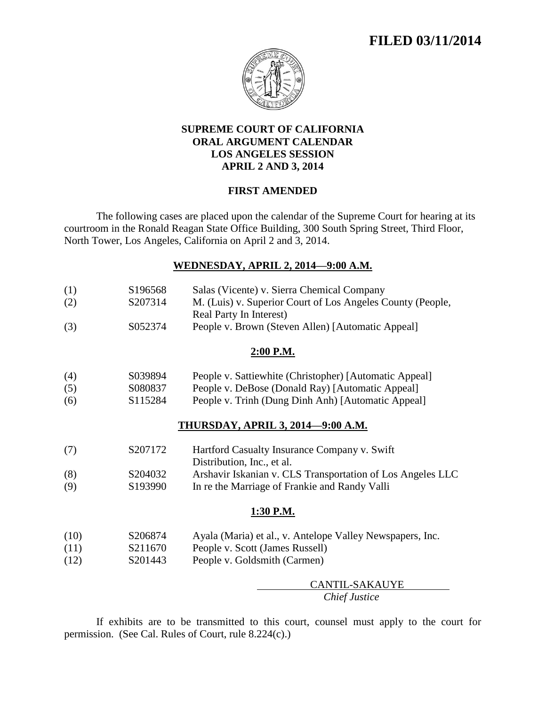# **FILED 03/11/2014**



## **SUPREME COURT OF CALIFORNIA ORAL ARGUMENT CALENDAR LOS ANGELES SESSION APRIL 2 AND 3, 2014**

## **FIRST AMENDED**

The following cases are placed upon the calendar of the Supreme Court for hearing at its courtroom in the Ronald Reagan State Office Building, 300 South Spring Street, Third Floor, North Tower, Los Angeles, California on April 2 and 3, 2014.

## **WEDNESDAY, APRIL 2, 2014—9:00 A.M.**

| (1)  | S196568 | Salas (Vicente) v. Sierra Chemical Company                                 |
|------|---------|----------------------------------------------------------------------------|
| (2)  | S207314 | M. (Luis) v. Superior Court of Los Angeles County (People,                 |
|      |         | Real Party In Interest)                                                    |
| (3)  | S052374 | People v. Brown (Steven Allen) [Automatic Appeal]                          |
|      |         | 2:00 P.M.                                                                  |
| (4)  | S039894 | People v. Sattiewhite (Christopher) [Automatic Appeal]                     |
| (5)  | S080837 | People v. DeBose (Donald Ray) [Automatic Appeal]                           |
| (6)  | S115284 | People v. Trinh (Dung Dinh Anh) [Automatic Appeal]                         |
|      |         | <b>THURSDAY, APRIL 3, 2014–9:00 A.M.</b>                                   |
| (7)  | S207172 | Hartford Casualty Insurance Company v. Swift<br>Distribution, Inc., et al. |
| (8)  | S204032 | Arshavir Iskanian v. CLS Transportation of Los Angeles LLC                 |
| (9)  | S193990 | In re the Marriage of Frankie and Randy Valli                              |
|      |         | 1:30 P.M.                                                                  |
| (10) | S206874 | Ayala (Maria) et al., v. Antelope Valley Newspapers, Inc.                  |
| (11) | S211670 | People v. Scott (James Russell)                                            |
| (12) | S201443 | People v. Goldsmith (Carmen)                                               |
|      |         | CANTIL-SAKAUYE                                                             |
|      |         | Chief Justice                                                              |

If exhibits are to be transmitted to this court, counsel must apply to the court for permission. (See Cal. Rules of Court, rule 8.224(c).)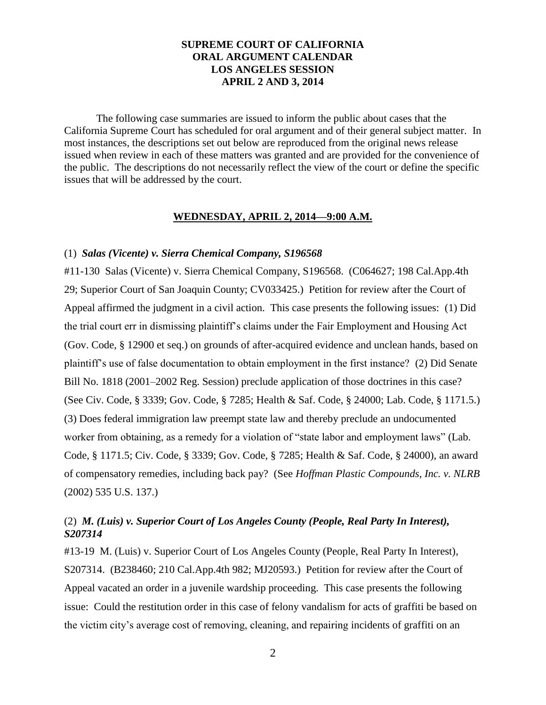## **SUPREME COURT OF CALIFORNIA ORAL ARGUMENT CALENDAR LOS ANGELES SESSION APRIL 2 AND 3, 2014**

The following case summaries are issued to inform the public about cases that the California Supreme Court has scheduled for oral argument and of their general subject matter. In most instances, the descriptions set out below are reproduced from the original news release issued when review in each of these matters was granted and are provided for the convenience of the public. The descriptions do not necessarily reflect the view of the court or define the specific issues that will be addressed by the court.

## **WEDNESDAY, APRIL 2, 2014—9:00 A.M.**

#### (1) *Salas (Vicente) v. Sierra Chemical Company, S196568*

#11-130 Salas (Vicente) v. Sierra Chemical Company, S196568. (C064627; 198 Cal.App.4th 29; Superior Court of San Joaquin County; CV033425.) Petition for review after the Court of Appeal affirmed the judgment in a civil action. This case presents the following issues: (1) Did the trial court err in dismissing plaintiff's claims under the Fair Employment and Housing Act (Gov. Code, § 12900 et seq.) on grounds of after-acquired evidence and unclean hands, based on plaintiff's use of false documentation to obtain employment in the first instance? (2) Did Senate Bill No. 1818 (2001–2002 Reg. Session) preclude application of those doctrines in this case? (See Civ. Code, § 3339; Gov. Code, § 7285; Health & Saf. Code, § 24000; Lab. Code, § 1171.5.) (3) Does federal immigration law preempt state law and thereby preclude an undocumented worker from obtaining, as a remedy for a violation of "state labor and employment laws" (Lab. Code, § 1171.5; Civ. Code, § 3339; Gov. Code, § 7285; Health & Saf. Code, § 24000), an award of compensatory remedies, including back pay? (See *Hoffman Plastic Compounds, Inc. v. NLRB*  (2002) 535 U.S. 137.)

# (2) *M. (Luis) v. Superior Court of Los Angeles County (People, Real Party In Interest), S207314*

#13-19 M. (Luis) v. Superior Court of Los Angeles County (People, Real Party In Interest), S207314. (B238460; 210 Cal.App.4th 982; MJ20593.) Petition for review after the Court of Appeal vacated an order in a juvenile wardship proceeding. This case presents the following issue: Could the restitution order in this case of felony vandalism for acts of graffiti be based on the victim city's average cost of removing, cleaning, and repairing incidents of graffiti on an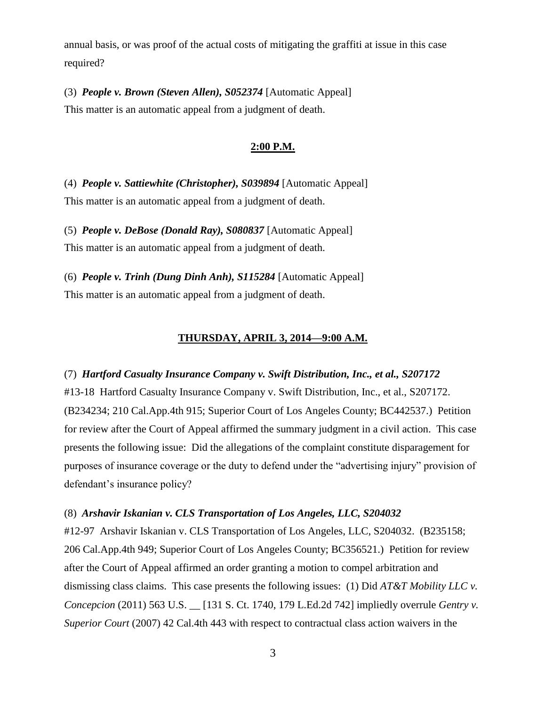annual basis, or was proof of the actual costs of mitigating the graffiti at issue in this case required?

(3) *People v. Brown (Steven Allen), S052374* [Automatic Appeal] This matter is an automatic appeal from a judgment of death.

## **2:00 P.M.**

(4) *People v. Sattiewhite (Christopher), S039894* [Automatic Appeal] This matter is an automatic appeal from a judgment of death.

(5) *People v. DeBose (Donald Ray), S080837* [Automatic Appeal] This matter is an automatic appeal from a judgment of death.

(6) *People v. Trinh (Dung Dinh Anh), S115284* [Automatic Appeal] This matter is an automatic appeal from a judgment of death.

## **THURSDAY, APRIL 3, 2014—9:00 A.M.**

(7) *Hartford Casualty Insurance Company v. Swift Distribution, Inc., et al., S207172* #13-18 Hartford Casualty Insurance Company v. Swift Distribution, Inc., et al., S207172. (B234234; 210 Cal.App.4th 915; Superior Court of Los Angeles County; BC442537.) Petition for review after the Court of Appeal affirmed the summary judgment in a civil action. This case presents the following issue: Did the allegations of the complaint constitute disparagement for purposes of insurance coverage or the duty to defend under the "advertising injury" provision of defendant's insurance policy?

#### (8) *Arshavir Iskanian v. CLS Transportation of Los Angeles, LLC, S204032*

#12-97 Arshavir Iskanian v. CLS Transportation of Los Angeles, LLC, S204032. (B235158; 206 Cal.App.4th 949; Superior Court of Los Angeles County; BC356521.) Petition for review after the Court of Appeal affirmed an order granting a motion to compel arbitration and dismissing class claims. This case presents the following issues: (1) Did *AT&T Mobility LLC v. Concepcion* (2011) 563 U.S. \_\_ [131 S. Ct. 1740, 179 L.Ed.2d 742] impliedly overrule *Gentry v. Superior Court* (2007) 42 Cal.4th 443 with respect to contractual class action waivers in the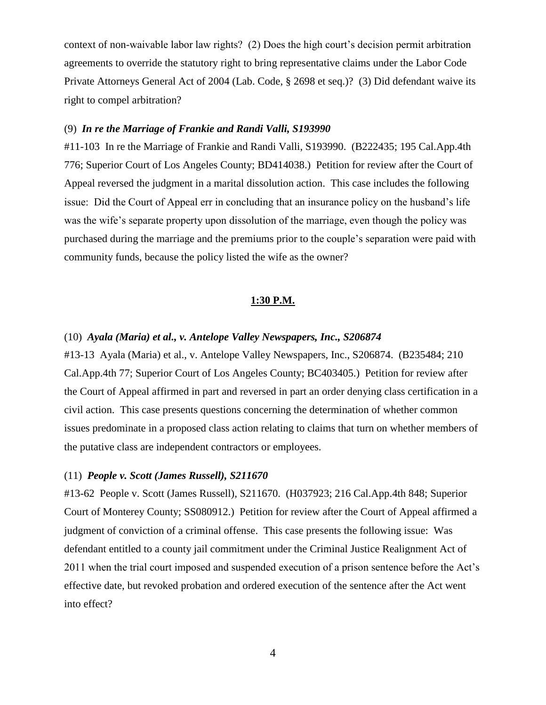context of non-waivable labor law rights? (2) Does the high court's decision permit arbitration agreements to override the statutory right to bring representative claims under the Labor Code Private Attorneys General Act of 2004 (Lab. Code, § 2698 et seq.)? (3) Did defendant waive its right to compel arbitration?

## (9) *In re the Marriage of Frankie and Randi Valli, S193990*

#11-103 In re the Marriage of Frankie and Randi Valli, S193990. (B222435; 195 Cal.App.4th 776; Superior Court of Los Angeles County; BD414038.) Petition for review after the Court of Appeal reversed the judgment in a marital dissolution action. This case includes the following issue: Did the Court of Appeal err in concluding that an insurance policy on the husband's life was the wife's separate property upon dissolution of the marriage, even though the policy was purchased during the marriage and the premiums prior to the couple's separation were paid with community funds, because the policy listed the wife as the owner?

#### **1:30 P.M.**

#### (10) *Ayala (Maria) et al., v. Antelope Valley Newspapers, Inc., S206874*

#13-13 Ayala (Maria) et al., v. Antelope Valley Newspapers, Inc., S206874. (B235484; 210 Cal.App.4th 77; Superior Court of Los Angeles County; BC403405.) Petition for review after the Court of Appeal affirmed in part and reversed in part an order denying class certification in a civil action. This case presents questions concerning the determination of whether common issues predominate in a proposed class action relating to claims that turn on whether members of the putative class are independent contractors or employees.

## (11) *People v. Scott (James Russell), S211670*

#13-62 People v. Scott (James Russell), S211670. (H037923; 216 Cal.App.4th 848; Superior Court of Monterey County; SS080912.) Petition for review after the Court of Appeal affirmed a judgment of conviction of a criminal offense. This case presents the following issue: Was defendant entitled to a county jail commitment under the Criminal Justice Realignment Act of 2011 when the trial court imposed and suspended execution of a prison sentence before the Act's effective date, but revoked probation and ordered execution of the sentence after the Act went into effect?